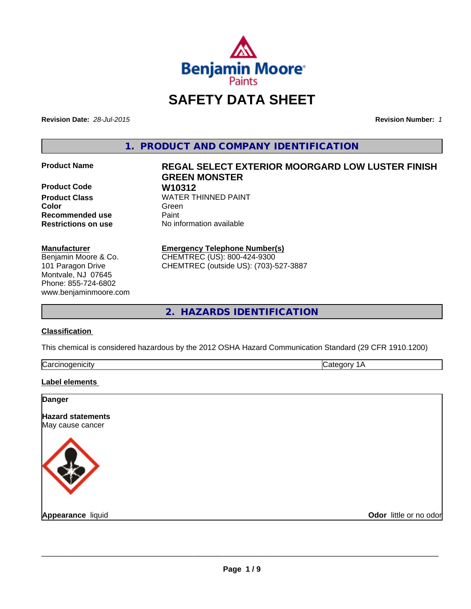

# **SAFETY DATA SHEET**

**Revision Date:** *28-Jul-2015* **Revision Number:** *1*

**1. PRODUCT AND COMPANY IDENTIFICATION**

**Product Code W10312 Recommended use** Paint<br> **Restrictions on use** No inf

# **Product Name REGAL SELECT EXTERIOR MOORGARD LOW LUSTER FINISH GREEN MONSTER Product Class** WATER THINNED PAINT **Color** Green **Green** Green **Green**

**No information available** 

#### **Manufacturer**

Benjamin Moore & Co. 101 Paragon Drive Montvale, NJ 07645 Phone: 855-724-6802 www.benjaminmoore.com

# **Emergency Telephone Number(s)**

CHEMTREC (US): 800-424-9300 CHEMTREC (outside US): (703)-527-3887

**2. HAZARDS IDENTIFICATION**

#### **Classification**

This chemical is considered hazardous by the 2012 OSHA Hazard Communication Standard (29 CFR 1910.1200)

|--|

#### **Label elements**

| <b>Danger</b>                                |                        |
|----------------------------------------------|------------------------|
| <b>Hazard statements</b><br>May cause cancer |                        |
|                                              |                        |
| <b>Appearance liquid</b>                     | Odor little or no odor |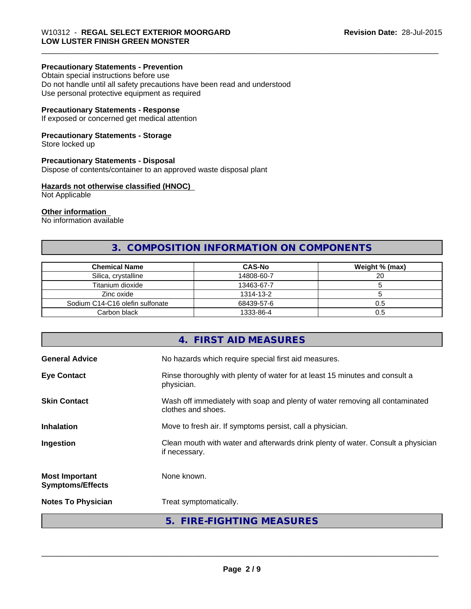# **Precautionary Statements - Prevention**

Obtain special instructions before use Do not handle until all safety precautions have been read and understood Use personal protective equipment as required

### **Precautionary Statements - Response**

If exposed or concerned get medical attention

### **Precautionary Statements - Storage**

Store locked up

#### **Precautionary Statements - Disposal**

Dispose of contents/container to an approved waste disposal plant

#### **Hazards not otherwise classified (HNOC)**

Not Applicable

#### **Other information**

No information available

# **3. COMPOSITION INFORMATION ON COMPONENTS**

\_\_\_\_\_\_\_\_\_\_\_\_\_\_\_\_\_\_\_\_\_\_\_\_\_\_\_\_\_\_\_\_\_\_\_\_\_\_\_\_\_\_\_\_\_\_\_\_\_\_\_\_\_\_\_\_\_\_\_\_\_\_\_\_\_\_\_\_\_\_\_\_\_\_\_\_\_\_\_\_\_\_\_\_\_\_\_\_\_\_\_\_\_

| <b>Chemical Name</b>            | <b>CAS-No</b> | Weight % (max) |
|---------------------------------|---------------|----------------|
| Silica, crystalline             | 14808-60-7    | 20             |
| Titanium dioxide                | 13463-67-7    |                |
| Zinc oxide                      | 1314-13-2     |                |
| Sodium C14-C16 olefin sulfonate | 68439-57-6    | 0.5            |
| Carbon black                    | 1333-86-4     | 0.5            |

|                                                  | 4. FIRST AID MEASURES                                                                              |
|--------------------------------------------------|----------------------------------------------------------------------------------------------------|
| <b>General Advice</b>                            | No hazards which require special first aid measures.                                               |
| <b>Eye Contact</b>                               | Rinse thoroughly with plenty of water for at least 15 minutes and consult a<br>physician.          |
| <b>Skin Contact</b>                              | Wash off immediately with soap and plenty of water removing all contaminated<br>clothes and shoes. |
| <b>Inhalation</b>                                | Move to fresh air. If symptoms persist, call a physician.                                          |
| Ingestion                                        | Clean mouth with water and afterwards drink plenty of water. Consult a physician<br>if necessary.  |
| <b>Most Important</b><br><b>Symptoms/Effects</b> | None known.                                                                                        |
| <b>Notes To Physician</b>                        | Treat symptomatically.                                                                             |
|                                                  | 5. FIRE-FIGHTING MEASURES                                                                          |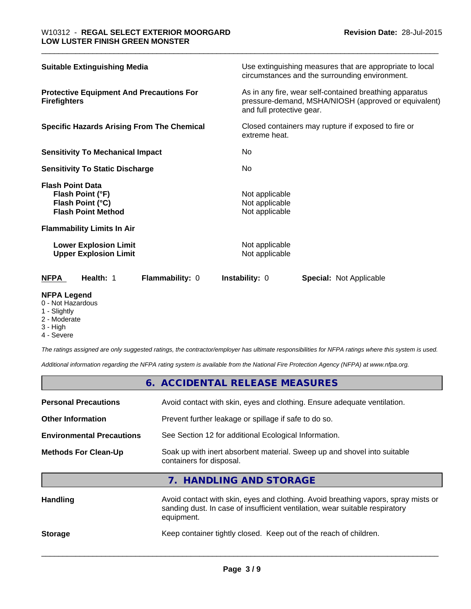| Use extinguishing measures that are appropriate to local<br>circumstances and the surrounding environment.                                   |
|----------------------------------------------------------------------------------------------------------------------------------------------|
| As in any fire, wear self-contained breathing apparatus<br>pressure-demand, MSHA/NIOSH (approved or equivalent)<br>and full protective gear. |
| Closed containers may rupture if exposed to fire or<br>extreme heat.                                                                         |
| No.                                                                                                                                          |
| No.                                                                                                                                          |
| Not applicable<br>Not applicable<br>Not applicable                                                                                           |
|                                                                                                                                              |
| Not applicable<br>Not applicable                                                                                                             |
| <b>Instability: 0</b><br><b>Special:</b> Not Applicable                                                                                      |
|                                                                                                                                              |

#### **NFPA Legend**

- 0 Not Hazardous
- 1 Slightly
- 2 Moderate
- 3 High
- 4 Severe

*The ratings assigned are only suggested ratings, the contractor/employer has ultimate responsibilities for NFPA ratings where this system is used.*

*Additional information regarding the NFPA rating system is available from the National Fire Protection Agency (NFPA) at www.nfpa.org.*

|                                  | 6. ACCIDENTAL RELEASE MEASURES                                                                                                                                                   |
|----------------------------------|----------------------------------------------------------------------------------------------------------------------------------------------------------------------------------|
| <b>Personal Precautions</b>      | Avoid contact with skin, eyes and clothing. Ensure adequate ventilation.                                                                                                         |
| <b>Other Information</b>         | Prevent further leakage or spillage if safe to do so.                                                                                                                            |
| <b>Environmental Precautions</b> | See Section 12 for additional Ecological Information.                                                                                                                            |
| <b>Methods For Clean-Up</b>      | Soak up with inert absorbent material. Sweep up and shovel into suitable<br>containers for disposal.                                                                             |
|                                  | 7. HANDLING AND STORAGE                                                                                                                                                          |
| Handling                         | Avoid contact with skin, eyes and clothing. Avoid breathing vapors, spray mists or<br>sanding dust. In case of insufficient ventilation, wear suitable respiratory<br>equipment. |
| <b>Storage</b>                   | Keep container tightly closed. Keep out of the reach of children.                                                                                                                |
|                                  |                                                                                                                                                                                  |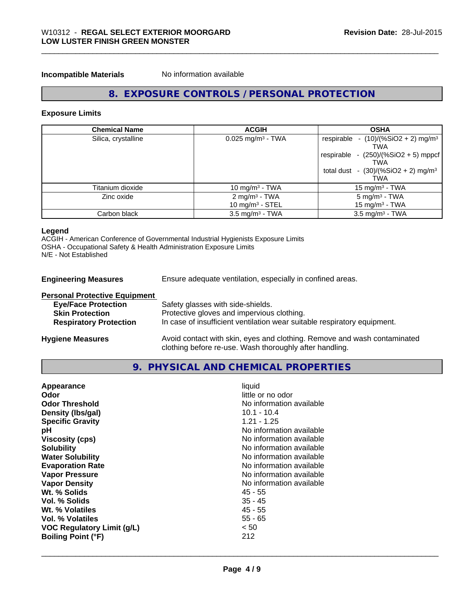**Incompatible Materials** No information available

# **8. EXPOSURE CONTROLS / PERSONAL PROTECTION**

\_\_\_\_\_\_\_\_\_\_\_\_\_\_\_\_\_\_\_\_\_\_\_\_\_\_\_\_\_\_\_\_\_\_\_\_\_\_\_\_\_\_\_\_\_\_\_\_\_\_\_\_\_\_\_\_\_\_\_\_\_\_\_\_\_\_\_\_\_\_\_\_\_\_\_\_\_\_\_\_\_\_\_\_\_\_\_\_\_\_\_\_\_

#### **Exposure Limits**

| <b>Chemical Name</b> | <b>ACGIH</b>                    | <b>OSHA</b>                                              |
|----------------------|---------------------------------|----------------------------------------------------------|
| Silica, crystalline  | $0.025$ mg/m <sup>3</sup> - TWA | respirable - $(10)/(%SiO2 + 2)$ mg/m <sup>3</sup><br>TWA |
|                      |                                 | respirable - $(250)/(%SiO2 + 5)$ mppcf                   |
|                      |                                 | <b>TWA</b>                                               |
|                      |                                 | total dust - $(30)/(%SiO2 + 2)$ mg/m <sup>3</sup>        |
|                      |                                 | TWA                                                      |
| Titanium dioxide     | 10 mg/m $3$ - TWA               | 15 mg/m $3$ - TWA                                        |
| Zinc oxide           | 2 mg/m <sup>3</sup> - TWA       | $5 \text{ mg/m}^3$ - TWA                                 |
|                      | 10 mg/m <sup>3</sup> - STEL     | 15 mg/m $3$ - TWA                                        |
| Carbon black         | $3.5 \text{ mg/m}^3$ - TWA      | $3.5 \text{ mg/m}^3$ - TWA                               |

#### **Legend**

ACGIH - American Conference of Governmental Industrial Hygienists Exposure Limits OSHA - Occupational Safety & Health Administration Exposure Limits N/E - Not Established

**Engineering Measures** Ensure adequate ventilation, especially in confined areas.

| <b>Personal Protective Equipment</b> |                                                                                                                                     |
|--------------------------------------|-------------------------------------------------------------------------------------------------------------------------------------|
| <b>Eye/Face Protection</b>           | Safety glasses with side-shields.                                                                                                   |
| <b>Skin Protection</b>               | Protective gloves and impervious clothing.                                                                                          |
| <b>Respiratory Protection</b>        | In case of insufficient ventilation wear suitable respiratory equipment.                                                            |
| <b>Hygiene Measures</b>              | Avoid contact with skin, eyes and clothing. Remove and wash contaminated<br>clothing before re-use. Wash thoroughly after handling. |

#### **9. PHYSICAL AND CHEMICAL PROPERTIES**

| $10.1 - 10.4$<br>Density (Ibs/gal)<br><b>Specific Gravity</b><br>$1.21 - 1.25$<br>No information available<br>рH<br>No information available<br><b>Viscosity (cps)</b><br>No information available<br><b>Solubility</b><br>No information available<br><b>Water Solubility</b><br>No information available<br><b>Evaporation Rate</b><br>No information available<br><b>Vapor Pressure</b><br>No information available<br><b>Vapor Density</b><br>Wt. % Solids<br>45 - 55<br>Vol. % Solids<br>$35 - 45$<br>45 - 55<br>Wt. % Volatiles<br>Vol. % Volatiles<br>$55 - 65$<br>< 50<br><b>VOC Regulatory Limit (g/L)</b><br>212<br><b>Boiling Point (°F)</b> | Appearance<br>Odor<br><b>Odor Threshold</b> | liquid<br>little or no odor<br>No information available |
|---------------------------------------------------------------------------------------------------------------------------------------------------------------------------------------------------------------------------------------------------------------------------------------------------------------------------------------------------------------------------------------------------------------------------------------------------------------------------------------------------------------------------------------------------------------------------------------------------------------------------------------------------------|---------------------------------------------|---------------------------------------------------------|
|---------------------------------------------------------------------------------------------------------------------------------------------------------------------------------------------------------------------------------------------------------------------------------------------------------------------------------------------------------------------------------------------------------------------------------------------------------------------------------------------------------------------------------------------------------------------------------------------------------------------------------------------------------|---------------------------------------------|---------------------------------------------------------|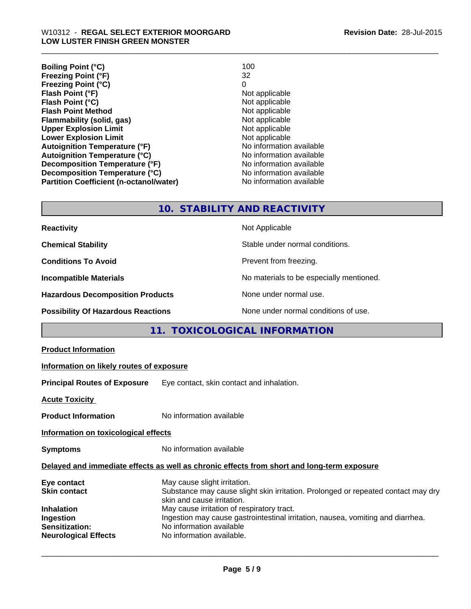**Boiling Point (°C)** 100<br> **Preezing Point (°F)** 100<br>
22 **Freezing Point (°F) Freezing Point (°C)** 0 **Flash Point (°F)**<br> **Flash Point (°C)**<br> **Flash Point (°C)**<br> **C Flash Point (°C)**<br> **Flash Point Method**<br> **Flash Point Method**<br> **CO Flash Point Method Flammability (solid, gas)** Not applicable Upper Explosion Limit **Upper Explosion Limit** Not applicable Not applicable Lower Explosion Limit Not applicable Not applicable Not applicable **Lower Explosion Limit Autoignition Temperature (°F)** No information available **Autoignition Temperature (°C)** No information available **Decomposition Temperature (°F)** No information available **Decomposition Temperature (°C)**<br> **Partition Coefficient (n-octanol/water)** No information available **Partition Coefficient (n-octanol/water)** 

\_\_\_\_\_\_\_\_\_\_\_\_\_\_\_\_\_\_\_\_\_\_\_\_\_\_\_\_\_\_\_\_\_\_\_\_\_\_\_\_\_\_\_\_\_\_\_\_\_\_\_\_\_\_\_\_\_\_\_\_\_\_\_\_\_\_\_\_\_\_\_\_\_\_\_\_\_\_\_\_\_\_\_\_\_\_\_\_\_\_\_\_\_

# **10. STABILITY AND REACTIVITY**

**Not Applicable** 

| <b>Reactivity</b> |  |
|-------------------|--|
|                   |  |

**Chemical Stability Stability** Stable under normal conditions.

**Conditions To Avoid Prevent from freezing.** 

**Incompatible Materials No materials** No materials to be especially mentioned.

**Hazardous Decomposition Products** None under normal use.

**Possibility Of Hazardous Reactions** None under normal conditions of use.

# **11. TOXICOLOGICAL INFORMATION**

#### **Product Information**

#### **Information on likely routes of exposure**

**Principal Routes of Exposure** Eye contact, skin contact and inhalation.

**Acute Toxicity** 

**Product Information** No information available

**Information on toxicological effects**

**Symptoms** No information available

#### **Delayed and immediate effects as well as chronic effects from short and long-term exposure**

| Eye contact                 | May cause slight irritation.                                                      |
|-----------------------------|-----------------------------------------------------------------------------------|
| <b>Skin contact</b>         | Substance may cause slight skin irritation. Prolonged or repeated contact may dry |
|                             | skin and cause irritation.                                                        |
| <b>Inhalation</b>           | May cause irritation of respiratory tract.                                        |
| Ingestion                   | Ingestion may cause gastrointestinal irritation, nausea, vomiting and diarrhea.   |
| Sensitization:              | No information available                                                          |
| <b>Neurological Effects</b> | No information available.                                                         |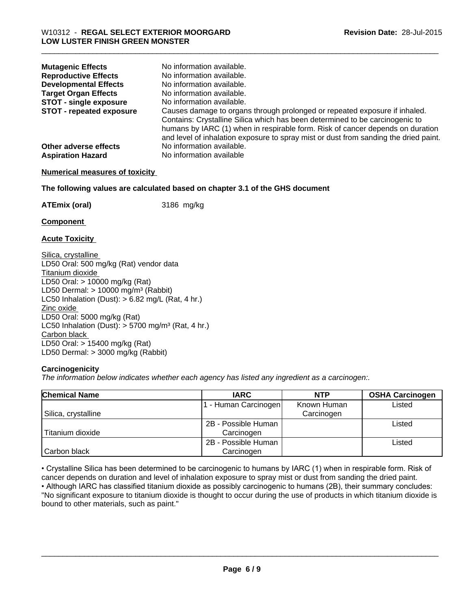| <b>Mutagenic Effects</b>        | No information available.                                                                                                                                                                                                                                                                                                            |
|---------------------------------|--------------------------------------------------------------------------------------------------------------------------------------------------------------------------------------------------------------------------------------------------------------------------------------------------------------------------------------|
| <b>Reproductive Effects</b>     | No information available.                                                                                                                                                                                                                                                                                                            |
| <b>Developmental Effects</b>    | No information available.                                                                                                                                                                                                                                                                                                            |
| <b>Target Organ Effects</b>     | No information available.                                                                                                                                                                                                                                                                                                            |
| <b>STOT - single exposure</b>   | No information available.                                                                                                                                                                                                                                                                                                            |
| <b>STOT - repeated exposure</b> | Causes damage to organs through prolonged or repeated exposure if inhaled.<br>Contains: Crystalline Silica which has been determined to be carcinogenic to<br>humans by IARC (1) when in respirable form. Risk of cancer depends on duration<br>and level of inhalation exposure to spray mist or dust from sanding the dried paint. |
| Other adverse effects           | No information available.                                                                                                                                                                                                                                                                                                            |
| <b>Aspiration Hazard</b>        | No information available                                                                                                                                                                                                                                                                                                             |

\_\_\_\_\_\_\_\_\_\_\_\_\_\_\_\_\_\_\_\_\_\_\_\_\_\_\_\_\_\_\_\_\_\_\_\_\_\_\_\_\_\_\_\_\_\_\_\_\_\_\_\_\_\_\_\_\_\_\_\_\_\_\_\_\_\_\_\_\_\_\_\_\_\_\_\_\_\_\_\_\_\_\_\_\_\_\_\_\_\_\_\_\_

#### **Numerical measures of toxicity**

**The following values are calculated based on chapter 3.1 of the GHS document**

**ATEmix (oral)** 3186 mg/kg

**Component** 

**Acute Toxicity** 

Silica, crystalline LD50 Oral: 500 mg/kg (Rat) vendor data Titanium dioxide LD50 Oral: > 10000 mg/kg (Rat) LD50 Dermal:  $> 10000$  mg/m<sup>3</sup> (Rabbit) LC50 Inhalation (Dust):  $> 6.82$  mg/L (Rat, 4 hr.) Zinc oxide LD50 Oral: 5000 mg/kg (Rat) LC50 Inhalation (Dust):  $> 5700$  mg/m<sup>3</sup> (Rat, 4 hr.) Carbon black LD50 Oral: > 15400 mg/kg (Rat) LD50 Dermal: > 3000 mg/kg (Rabbit)

#### **Carcinogenicity**

*The information below indicates whether each agency has listed any ingredient as a carcinogen:.*

| <b>Chemical Name</b> | <b>IARC</b>         | <b>NTP</b>  | <b>OSHA Carcinogen</b> |
|----------------------|---------------------|-------------|------------------------|
|                      | - Human Carcinogen  | Known Human | Listed                 |
| Silica, crystalline  |                     | Carcinogen  |                        |
|                      | 2B - Possible Human |             | Listed                 |
| Titanium dioxide     | Carcinogen          |             |                        |
|                      | 2B - Possible Human |             | Listed                 |
| Carbon black         | Carcinogen          |             |                        |

• Crystalline Silica has been determined to be carcinogenic to humans by IARC (1) when in respirable form. Risk of cancer depends on duration and level of inhalation exposure to spray mist or dust from sanding the dried paint.

• Although IARC has classified titanium dioxide as possibly carcinogenic to humans (2B), their summary concludes: "No significant exposure to titanium dioxide is thought to occur during the use of products in which titanium dioxide is bound to other materials, such as paint."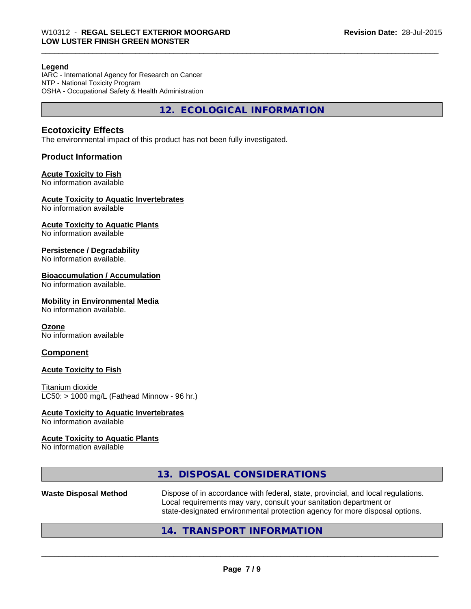#### **Legend**

IARC - International Agency for Research on Cancer NTP - National Toxicity Program OSHA - Occupational Safety & Health Administration

**12. ECOLOGICAL INFORMATION**

\_\_\_\_\_\_\_\_\_\_\_\_\_\_\_\_\_\_\_\_\_\_\_\_\_\_\_\_\_\_\_\_\_\_\_\_\_\_\_\_\_\_\_\_\_\_\_\_\_\_\_\_\_\_\_\_\_\_\_\_\_\_\_\_\_\_\_\_\_\_\_\_\_\_\_\_\_\_\_\_\_\_\_\_\_\_\_\_\_\_\_\_\_

## **Ecotoxicity Effects**

The environmental impact of this product has not been fully investigated.

## **Product Information**

#### **Acute Toxicity to Fish**

No information available

#### **Acute Toxicity to Aquatic Invertebrates**

No information available

#### **Acute Toxicity to Aquatic Plants**

No information available

#### **Persistence / Degradability**

No information available.

#### **Bioaccumulation / Accumulation**

No information available.

#### **Mobility in Environmental Media**

No information available.

#### **Ozone**

No information available

## **Component**

# **Acute Toxicity to Fish**

Titanium dioxide LC50: > 1000 mg/L (Fathead Minnow - 96 hr.)

#### **Acute Toxicity to Aquatic Invertebrates**

No information available

#### **Acute Toxicity to Aquatic Plants**

No information available

# **13. DISPOSAL CONSIDERATIONS**

**Waste Disposal Method** Dispose of in accordance with federal, state, provincial, and local regulations. Local requirements may vary, consult your sanitation department or state-designated environmental protection agency for more disposal options.

 $\overline{\phantom{a}}$  ,  $\overline{\phantom{a}}$  ,  $\overline{\phantom{a}}$  ,  $\overline{\phantom{a}}$  ,  $\overline{\phantom{a}}$  ,  $\overline{\phantom{a}}$  ,  $\overline{\phantom{a}}$  ,  $\overline{\phantom{a}}$  ,  $\overline{\phantom{a}}$  ,  $\overline{\phantom{a}}$  ,  $\overline{\phantom{a}}$  ,  $\overline{\phantom{a}}$  ,  $\overline{\phantom{a}}$  ,  $\overline{\phantom{a}}$  ,  $\overline{\phantom{a}}$  ,  $\overline{\phantom{a}}$ 

# **14. TRANSPORT INFORMATION**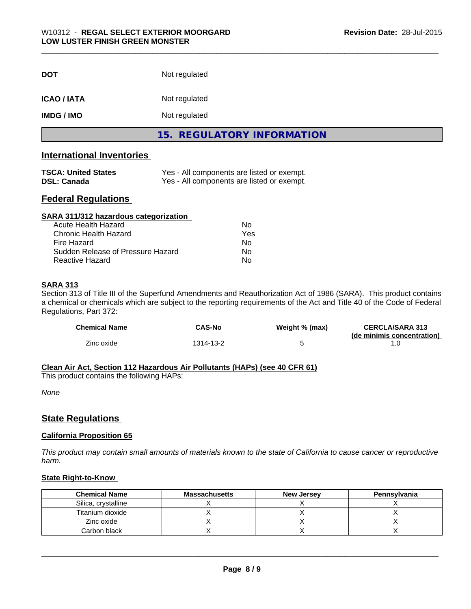| <b>DOT</b>         | Not regulated              |
|--------------------|----------------------------|
| <b>ICAO / IATA</b> | Not regulated              |
| <b>IMDG / IMO</b>  | Not regulated              |
|                    | 15. REGULATORY INFORMATION |

# **International Inventories**

| <b>TSCA: United States</b> | Yes - All components are listed or exempt. |
|----------------------------|--------------------------------------------|
| <b>DSL: Canada</b>         | Yes - All components are listed or exempt. |

# **Federal Regulations**

| SARA 311/312 hazardous categorization |     |  |
|---------------------------------------|-----|--|
| Acute Health Hazard                   | Nο  |  |
| Chronic Health Hazard                 | Yes |  |
| Fire Hazard                           | No  |  |
| Sudden Release of Pressure Hazard     | Nο  |  |
| Reactive Hazard                       | No  |  |

#### **SARA 313**

Section 313 of Title III of the Superfund Amendments and Reauthorization Act of 1986 (SARA). This product contains a chemical or chemicals which are subject to the reporting requirements of the Act and Title 40 of the Code of Federal Regulations, Part 372:

| <b>Chemical Name</b> | <b>CAS-No</b> | Weight % (max) | <b>CERCLA/SARA 313</b><br>(de minimis concentration) |
|----------------------|---------------|----------------|------------------------------------------------------|
| Zinc oxide           | 314-13-2      |                |                                                      |

#### **Clean Air Act, Section 112 Hazardous Air Pollutants (HAPs) (see 40 CFR 61)**

This product contains the following HAPs:

*None*

# **State Regulations**

### **California Proposition 65**

*This product may contain small amounts of materials known to the state of California to cause cancer or reproductive harm.*

## **State Right-to-Know**

| <b>Chemical Name</b> | <b>Massachusetts</b> | <b>New Jersey</b> | Pennsylvania |
|----------------------|----------------------|-------------------|--------------|
| Silica, crystalline  |                      |                   |              |
| Titanium dioxide     |                      |                   |              |
| Zinc oxide           |                      |                   |              |
| Carbon black         |                      |                   |              |